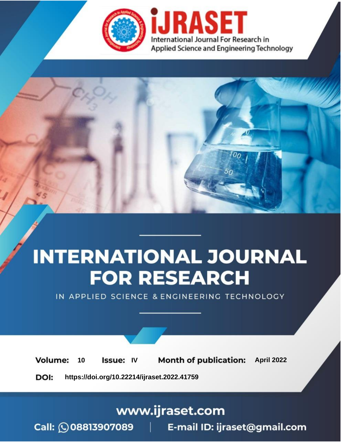

# **INTERNATIONAL JOURNAL FOR RESEARCH**

IN APPLIED SCIENCE & ENGINEERING TECHNOLOGY

10 **Issue: IV Month of publication:** April 2022 **Volume:** 

**https://doi.org/10.22214/ijraset.2022.41759**DOI:

www.ijraset.com

Call: 008813907089 | E-mail ID: ijraset@gmail.com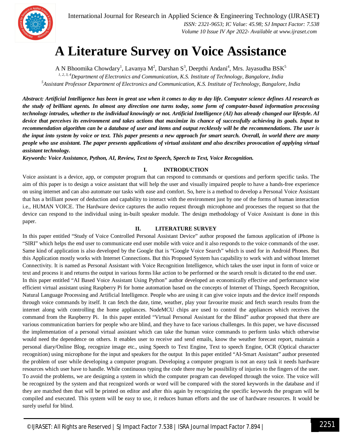

### **A Literature Survey on Voice Assistance**

A N Bhoomika Chowdary<sup>1</sup>, Lavanya M<sup>2</sup>, Darshan S<sup>3</sup>, Deepthi Andani<sup>4</sup>, Mrs. Jayasudha BSK<sup>5</sup>

*1, 2, 3, 4Department of Electronics and Communication, K.S. Institute of Technology, Bangalore, India <sup>5</sup>Assistant Professor Department of Electronics and Communication, K.S. Institute of Technology, Bangalore, India*

*Abstract: Artificial Intelligence has been in great use when it comes to day to day life. Computer science defines AI research as the study of brilliant agents. In almost any direction one turns today, some form of computer-based information processing technology intrudes, whether to the individual knowingly or not. Artificial Intelligence (AI) has already changed our lifestyle. AI device that perceives its environment and takes actions that maximize its chance of successfully achieving its goals. Input to recommendation algorithm can be a database of user and items and output recklessly will be the recommendations. The user is the input into system by voice or text. This paper presents a new approach for smart search. Overall, in world there are many people who use assistant. The paper presents applications of virtual assistant and also describes provocation of applying virtual assistant technology.*

*Keywords: Voice Assistance, Python, AI, Review, Text to Speech, Speech to Text, Voice Recognition.*

#### **I. INTRODUCTION**

Voice assistant is a device, app, or computer program that can respond to commands or questions and perform specific tasks. The aim of this paper is to design a voice assistant that will help the user and visually impaired people to have a hands-free experience on using internet and can also automate our tasks with ease and comfort. So, here is a method to develop a Personal Voice Assistant that has a brilliant power of deduction and capability to interact with the environment just by one of the forms of human interaction i.e., HUMAN VOICE. The Hardware device captures the audio request through microphone and processes the request so that the device can respond to the individual using in-built speaker module. The design methodology of Voice Assistant is done in this paper.

#### **II. LITERATURE SURVEY**

In this paper entitled "Study of Voice Controlled Personal Assistant Device" author proposed the famous application of iPhone is "SIRI" which helps the end user to communicate end user mobile with voice and it also responds to the voice commands of the user. Same kind of application is also developed by the Google that is "Google Voice Search" which is used for in Android Phones. But this Application mostly works with Internet Connections. But this Proposed System has capability to work with and without Internet Connectivity. It is named as Personal Assistant with Voice Recognition Intelligence, which takes the user input in form of voice or text and process it and returns the output in various forms like action to be performed or the search result is dictated to the end user. In this paper entitled "AI Based Voice Assistant Using Python" author developed an economically effective and performance wise efficient virtual assistant using Raspberry Pi for home automation based on the concepts of Internet of Things, Speech Recognition, Natural Language Processing and Artificial Intelligence. People who are using it can give voice inputs and the device itself responds through voice commands by itself. It can fetch the date, time, weather, play your favourite music and fetch search results from the internet along with controlling the home appliances. NodeMCU chips are used to control the appliances which receives the command from the Raspberry Pi. In this paper entitled "Virtual Personal Assistant for the Blind" author proposed that there are various communication barriers for people who are blind, and they have to face various challenges. In this paper, we have discussed the implementation of a personal virtual assistant which can take the human voice commands to perform tasks which otherwise would need the dependence on others. It enables user to receive and send emails, know the weather forecast report, maintain a personal diary/Online Blog, recognize image etc., using Speech to Text Engine, Text to speech Engine, OCR (Optical character recognition) using microphone for the input and speakers for the output In this paper entitled "AI-Smart Assistant" author presented the problem of user while developing a computer program. Developing a computer program is not an easy task it needs hardware resources which user have to handle. While continuous typing the code there may be possibility of injuries to the fingers of the user. To avoid the problems, we are designing a system in which the computer program can developed through the voice. The voice will be recognized by the system and that recognized words or word will be compared with the stored keywords in the database and if they are matched then that will be printed on editor and after this again by recognizing the specific keywords the program will be compiled and executed. This system will be easy to use, it reduces human efforts and the use of hardware resources. It would be surely useful for blind.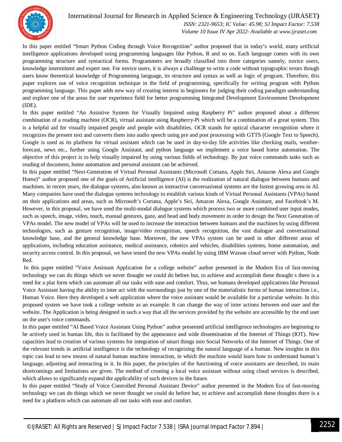

#### International Journal for Research in Applied Science & Engineering Technology (IJRASET**)**  *ISSN: 2321-9653; IC Value: 45.98; SJ Impact Factor: 7.538*

 *Volume 10 Issue IV Apr 2022- Available at www.ijraset.com*

In this paper entitled "Smart Python Coding through Voice Recognition" author proposed that in today's world, many artificial intelligence applications developed using programming languages like Python, R and so on. Each language comes with its own programming structure and syntactical forms. Programmers are broadly classified into three categories namely, novice users, knowledge intermittent and expert one. For novice users, it is always a challenge to write a code without typographic errors though users know theoretical knowledge of Programming language, its structure and syntax as well as logic of program. Therefore, this paper explores use of voice recognition technique in the field of programming, specifically for writing program with Python programming language. This paper adds new way of creating interest in beginners for judging their coding paradigm understanding and explore one of the areas for user experience field for better programming Integrated Development Environment Development (IDE).

In this paper entitled "An Assistive System for Visually Impaired using Raspberry Pi" author proposed about a different combination of a reading machine (OCR), virtual assistant using Raspberry-Pi which will be a combination of a great system. This is a helpful aid for visually impaired people and people with disabilities. OCR stands for optical character recognition where it recognizes the present text and converts them into audio speech using pre and post processing with GTTS (Google Text to Speech). Google is used as its platform for virtual assistant which can be used in day-to-day life activities like checking mails, weatherforecast, news etc., further using Google Assistant, and python language we implement a voice based home automation. The objective of this project is to help visually impaired by using various fields of technology. By just voice commands tasks such as reading of document, home automation and personal assistant can be achieved.

In this paper entitled "Next-Generation of Virtual Personal Assistants (Microsoft Cortana, Apple Siri, Amazon Alexa and Google Home)" author proposed one of the goals of Artificial intelligence (AI) is the realization of natural dialogue between humans and machines. in recent years, the dialogue systems, also known as interactive conversational systems are the fastest growing area in AI. Many companies have used the dialogue systems technology to establish various kinds of Virtual Personal Assistants (VPAs) based on their applications and areas, such as Microsoft's Cortana, Apple's Siri, Amazon Alexa, Google Assistant, and Facebook's M. However, in this proposal, we have used the multi-modal dialogue systems which process two or more combined user input modes, such as speech, image, video, touch, manual gestures, gaze, and head and body movement in order to design the Next Generation of VPAs model. The new model of VPAs will be used to increase the interaction between humans and the machines by using different technologies, such as gesture recognition, image/video recognition, speech recognition, the vast dialogue and conversational knowledge base, and the general knowledge base. Moreover, the new VPAs system can be used in other different areas of applications, including education assistance, medical assistance, robotics and vehicles, disabilities systems, home automation, and security access control. In this proposal, we have tested the new VPAs model by using IBM Watson cloud server with Python, Node Red.

In this paper entitled "Voice Assistant Application for a college website" author presented in the Modern Era of fast-moving technology we can do things which we never thought we could do before but, to achieve and accomplish these thought s there is a need for a plat form which can automate all our tasks with ease and comfort. Thus, we humans developed applications like Personal Voice Assistant having the ability to inter act with the surroundings just by one of the materialistic forms of human interaction i.e., Human Voice. Here they developed a web application where the voice assistant would be available for a particular website. In this proposed system we have took a college website as an example. It can change the way of inter actions between end user and the website. The Application is being designed in such a way that all the services provided by the website are accessible by the end user on the user's voice commands.

In this paper entitled "AI Based Voice Assistant Using Python" author presented artificial intelligence technologies are beginning to be actively used in human life, this is facilitated by the appearance and wide dissemination of the Internet of Things (IOT). New capacities lead to creation of various systems for integration of smart things into Social Networks of the Internet of Things. One of the relevant trends in artificial intelligence is the technology of recognizing the natural language of a human. New insights in this topic can lead to new means of natural human machine interaction, in which the machine would learn how to understand human's language, adjusting and interacting in it. In this paper, the principles of the functioning of voice assistants are described, its main shortcomings and limitations are given. The method of creating a local voice assistant without using cloud services is described, which allows to significantly expand the applicability of such devices in the future.

In this paper entitled "Study of Voice Controlled Personal Assistant Device" author presented in the Modern Era of fast-moving technology we can do things which we never thought we could do before but, to achieve and accomplish these thoughts there is a need for a platform which can automate all our tasks with ease and comfort.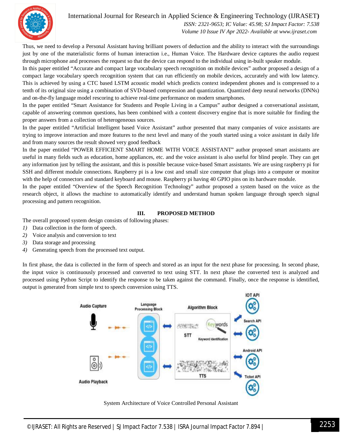International Journal for Research in Applied Science & Engineering Technology (IJRASET**)**



 *ISSN: 2321-9653; IC Value: 45.98; SJ Impact Factor: 7.538 Volume 10 Issue IV Apr 2022- Available at www.ijraset.com*

Thus, we need to develop a Personal Assistant having brilliant powers of deduction and the ability to interact with the surroundings just by one of the materialistic forms of human interaction i.e., Human Voice. The Hardware device captures the audio request through microphone and processes the request so that the device can respond to the individual using in-built speaker module.

In this paper entitled "Accurate and compact large vocabulary speech recognition on mobile devices" author proposed a design of a compact large vocabulary speech recognition system that can run efficiently on mobile devices, accurately and with low latency. This is achieved by using a CTC based LSTM acoustic model which predicts context independent phones and is compressed to a tenth of its original size using a combination of SVD-based compression and quantization. Quantized deep neural networks (DNNs) and on-the-fly language model rescoring to achieve real-time performance on modern smartphones.

In the paper entitled "Smart Assistance for Students and People Living in a Campus" author designed a conversational assistant, capable of answering common questions, has been combined with a content discovery engine that is more suitable for finding the proper answers from a collection of heterogeneous sources.

In the paper entitled "Artificial Intelligent based Voice Assistant" author presented that many companies of voice assistants are trying to improve interaction and more features to the next level and many of the youth started using a voice assistant in daily life and from many sources the result showed very good feedback

In the paper entitled "POWER EFFICIENT SMART HOME WITH VOICE ASSISTANT" author proposed smart assistants are useful in many fields such as education, home appliances, etc. and the voice assistant is also useful for blind people. They can get any information just by telling the assistant, and this is possible because voice-based Smart assistants. We are using raspberry pi for SSH and different module connections. Raspberry pi is a low cost and small size computer that plugs into a computer or monitor with the help of connectors and standard keyboard and mouse. Raspberry pi having 40 GPIO pins on its hardware module.

In the paper entitled "Overview of the Speech Recognition Technology" author proposed a system based on the voice as the research object, it allows the machine to automatically identify and understand human spoken language through speech signal processing and pattern recognition.

#### **III. PROPOSED METHOD**

The overall proposed system design consists of following phases:

- *1)* Data collection in the form of speech.
- *2)* Voice analysis and conversion to text
- *3)* Data storage and processing
- *4)* Generating speech from the processed text output.

In first phase, the data is collected in the form of speech and stored as an input for the next phase for processing. In second phase, the input voice is continuously processed and converted to text using STT. In next phase the converted text is analyzed and processed using Python Script to identify the response to be taken against the command. Finally, once the response is identified, output is generated from simple text to speech conversion using TTS.



System Architecture of Voice Controlled Personal Assistant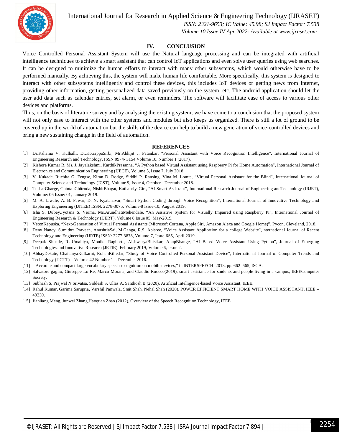

International Journal for Research in Applied Science & Engineering Technology (IJRASET**)**

 *ISSN: 2321-9653; IC Value: 45.98; SJ Impact Factor: 7.538 Volume 10 Issue IV Apr 2022- Available at www.ijraset.com*

#### **IV. CONCLUSION**

Voice Controlled Personal Assistant System will use the Natural language processing and can be integrated with artificial intelligence techniques to achieve a smart assistant that can control IoT applications and even solve user queries using web searches. It can be designed to minimize the human efforts to interact with many other subsystems, which would otherwise have to be performed manually. By achieving this, the system will make human life comfortable. More specifically, this system is designed to interact with other subsystems intelligently and control these devices, this includes IoT devices or getting news from Internet, providing other information, getting personalized data saved previously on the system, etc. The android application should let the user add data such as calendar entries, set alarm, or even reminders. The software will facilitate ease of access to various other devices and platforms.

Thus, on the basis of literature survey and by analysing the existing system, we have come to a conclusion that the proposed system will not only ease to interact with the other systems and modules but also keeps us organized. There is still a lot of ground to be covered up in the world of automation but the skills of the device can help to build a new generation of voice-controlled devices and bring a new sustaining change in the field of automation.

#### **REFERENCES**

- [1] Dr.Kshama V. Kulhalli, Dr.KotrappaSirbi, Mr.Abhijit J. Patankar, "Personal Assistant with Voice Recognition Intelligence", International Journal of Engineering Research and Technology. ISSN 0974- 3154 Volume 10, Number 1 (2017).
- [2] Kishore Kumar R, Ms. J. Jayalakshmi, KarthikPrasanna, "A Python based Virtual Assistant using Raspberry Pi for Home Automation", International Journal of Electronics and Communication Engineering (IJECE), Volume 5, Issue 7, July 2018.
- [3] V. Kukade, Ruchita G. Fengse, Kiran D. Rodge, Siddhi P. Ransing, Vina M. Lomte, "Virtual Personal Assistant for the Blind", International Journal of Computer Science and Technology (JCST), Volume 9, Issue 4, October - December 2018.
- [4] TusharGharge, ChintanChitroda, NishitBhagat, KathapriyaGiri, "AI-Smart Assistant", International Research Journal of Engineering andTechnology (IRJET), Volume: 06 Issue: 01, January 2019.
- [5] M. A. Jawale, A. B. Pawar, D. N. Kyatanavar, "Smart Python Coding through Voice Recognition", International Journal of Innovative Technology and Exploring Engineering (IJITEE) ISSN: 2278-3075, Volume-8 Issue-10, August 2019.
- [6] Isha S. Dubey,Jyotsna S. Verma, Ms.ArundhatiMehendale, "An Assistive System for Visually Impaired using Raspberry Pi", International Journal of Engineering Research & Technology (IJERT), Volume 8 Issue 05, May-2019.
- [7] VetonKëpuska, "Next-Generation of Virtual Personal Assistants (Microsoft Cortana, Apple Siri, Amazon Alexa and Google Home)", Pycon, Cleveland, 2018.
- [8] Deny Nancy, Sumithra Praveen, AnushriaSai, M.Ganga, R.S. Abisree, "Voice Assistant Application for a college Website", nternational Journal of Recent Technology and Engineering (IJRTE) ISSN: 2277-3878, Volume-7, Issue-6S5, April 2019.
- [9] Deepak Shende, RiaUmahiya, Monika Raghorte, AishwaryaBhisikar, AnupBhange, "AI Based Voice Assistant Using Python", Journal of Emerging Technologies and Innovative Research (JETIR), February 2019, Volume 6, Issue 2.
- [10] AbhayDekate, ChaitanyaKulkarni, RohanKilledar, "Study of Voice Controlled Personal Assistant Device", International Journal of Computer Trends and Technology (IJCTT) – Volume 42 Number 1 – December 2016.
- [11] "Accurate and compact large vocabulary speech recognition on mobile devices," in INTERSPEECH. 2013, pp. 662–665, ISCA.
- [12] Salvatore gaglio, Giuseppe Lo Re, Marco Morana, and Claudio Ruocco(2019), smart assistance for students and people living in a campus, IEEEComputer Society.
- [13] Subhash S, Prajwal N Srivatsa, Siddesh S, Ullas A, Santhosh B (2020), Artificial Intelligence-based Voice Assistant, IEEE.
- [14] Rahul Kumar, Garima Sarupria, Varshil Panwala, Smit Shah, Nehal Shah (2020), POWER EFFICIENT SMART HOME WITH VOICE ASSISTANT, IEEE 49239.
- [15] Jianliang Meng, Junwei Zhang,Haoquan Zhao (2012), Overview of the Speech Recognition Technology, IEEE